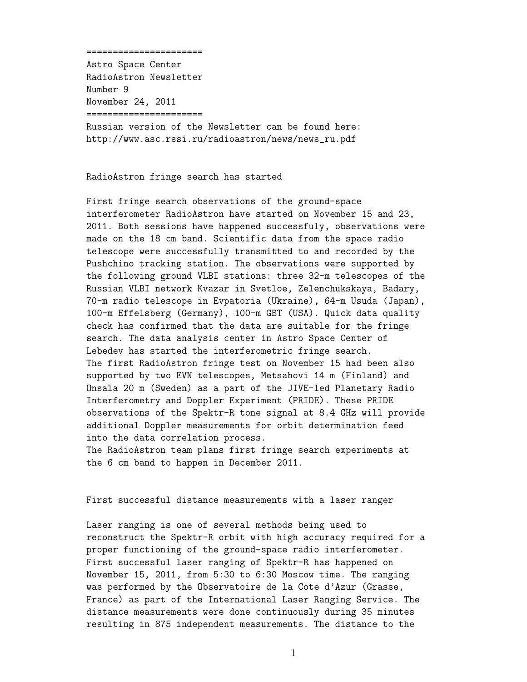## ======================

Astro Space Center RadioAstron Newsletter Number 9 November 24, 2011 ======================

Russian version of the Newsletter can be found here: http://www.asc.rssi.ru/radioastron/news/news\_ru.pdf

## RadioAstron fringe search has started

First fringe search observations of the ground-space interferometer RadioAstron have started on November 15 and 23, 2011. Both sessions have happened successfuly, observations were made on the 18 cm band. Scientific data from the space radio telescope were successfully transmitted to and recorded by the Pushchino tracking station. The observations were supported by the following ground VLBI stations: three 32-m telescopes of the Russian VLBI network Kvazar in Svetloe, Zelenchukskaya, Badary, 70-m radio telescope in Evpatoria (Ukraine), 64-m Usuda (Japan), 100-m Effelsberg (Germany), 100-m GBT (USA). Quick data quality check has confirmed that the data are suitable for the fringe search. The data analysis center in Astro Space Center of Lebedev has started the interferometric fringe search. The first RadioAstron fringe test on November 15 had been also supported by two EVN telescopes, Metsahovi 14 m (Finland) and Onsala 20 m (Sweden) as a part of the JIVE-led Planetary Radio Interferometry and Doppler Experiment (PRIDE). These PRIDE observations of the Spektr-R tone signal at 8.4 GHz will provide additional Doppler measurements for orbit determination feed into the data correlation process. The RadioAstron team plans first fringe search experiments at

the 6 cm band to happen in December 2011.

## First successful distance measurements with a laser ranger

Laser ranging is one of several methods being used to reconstruct the Spektr-R orbit with high accuracy required for a proper functioning of the ground-space radio interferometer. First successful laser ranging of Spektr-R has happened on November 15, 2011, from 5:30 to 6:30 Moscow time. The ranging was performed by the Observatoire de la Cote d'Azur (Grasse, France) as part of the International Laser Ranging Service. The distance measurements were done continuously during 35 minutes resulting in 875 independent measurements. The distance to the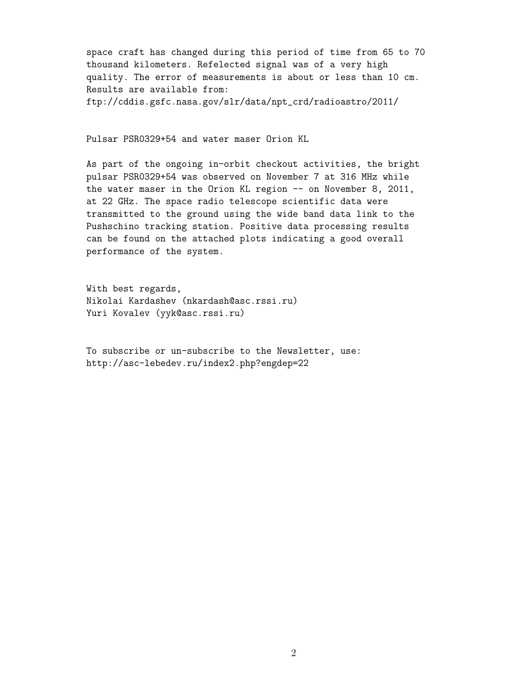space craft has changed during this period of time from 65 to 70 thousand kilometers. Refelected signal was of a very high quality. The error of measurements is about or less than 10 cm. Results are available from: ftp://cddis.gsfc.nasa.gov/slr/data/npt\_crd/radioastro/2011/

Pulsar PSR0329+54 and water maser Orion KL

As part of the ongoing in-orbit checkout activities, the bright pulsar PSR0329+54 was observed on November 7 at 316 MHz while the water maser in the Orion KL region -- on November 8, 2011, at 22 GHz. The space radio telescope scientific data were transmitted to the ground using the wide band data link to the Pushschino tracking station. Positive data processing results can be found on the attached plots indicating a good overall performance of the system.

With best regards, Nikolai Kardashev (nkardash@asc.rssi.ru) Yuri Kovalev (yyk@asc.rssi.ru)

To subscribe or un-subscribe to the Newsletter, use: http://asc-lebedev.ru/index2.php?engdep=22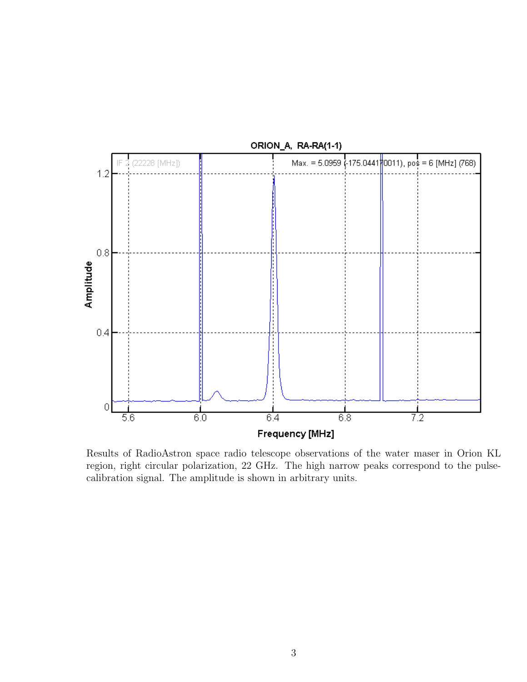

Results of RadioAstron space radio telescope observations of the water maser in Orion KL region, right circular polarization, 22 GHz. The high narrow peaks correspond to the pulsecalibration signal. The amplitude is shown in arbitrary units.